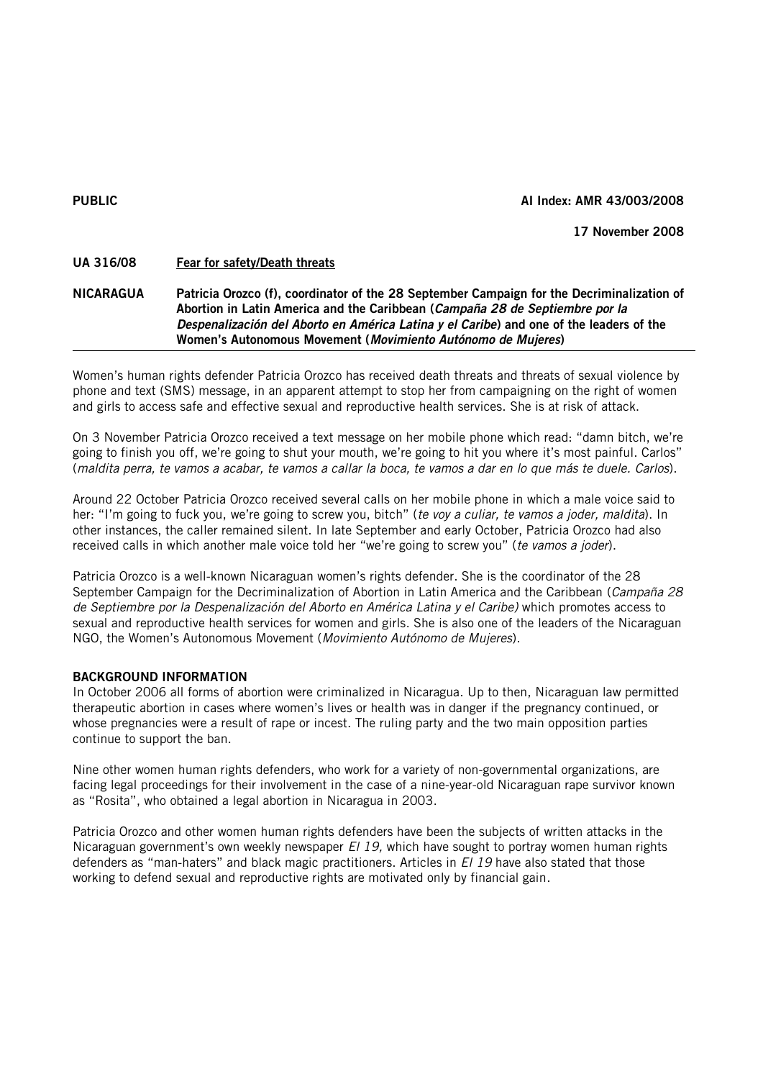#### PUBLIC AI Index: AMR 43/003/2008

### 17 November 2008

# UA 316/08 Fear for safety/Death threats

## NICARAGUA Patricia Orozco (f), coordinator of the 28 September Campaign for the Decriminalization of Abortion in Latin America and the Caribbean (*Campaña 28 de Septiembre por la Despenalización del Aborto en América Latina y el Caribe*) and one of the leaders of the Women's Autonomous Movement (*Movimiento Autónomo de Mujeres*)

Women's human rights defender Patricia Orozco has received death threats and threats of sexual violence by phone and text (SMS) message, in an apparent attempt to stop her from campaigning on the right of women and girls to access safe and effective sexual and reproductive health services. She is at risk of attack.

On 3 November Patricia Orozco received a text message on her mobile phone which read: "damn bitch, we're going to finish you off, we're going to shut your mouth, we're going to hit you where it's most painful. Carlos" (*maldita perra, te vamos a acabar, te vamos a callar la boca, te vamos a dar en lo que más te duele. Carlos*).

Around 22 October Patricia Orozco received several calls on her mobile phone in which a male voice said to her: "I'm going to fuck you, we're going to screw you, bitch" (*te voy a culiar, te vamos a joder, maldita*). In other instances, the caller remained silent. In late September and early October, Patricia Orozco had also received calls in which another male voice told her "we're going to screw you" (*te vamos a joder*).

Patricia Orozco is a well-known Nicaraguan women's rights defender. She is the coordinator of the 28 September Campaign for the Decriminalization of Abortion in Latin America and the Caribbean (*Campaña 28 de Septiembre por la Despenalización del Aborto en América Latina y el Caribe)* which promotes access to sexual and reproductive health services for women and girls. She is also one of the leaders of the Nicaraguan NGO, the Women's Autonomous Movement (*Movimiento Autónomo de Mujeres*).

### BACKGROUND INFORMATION

In October 2006 all forms of abortion were criminalized in Nicaragua. Up to then, Nicaraguan law permitted therapeutic abortion in cases where women's lives or health was in danger if the pregnancy continued, or whose pregnancies were a result of rape or incest. The ruling party and the two main opposition parties continue to support the ban.

Nine other women human rights defenders, who work for a variety of non-governmental organizations, are facing legal proceedings for their involvement in the case of a nine-year-old Nicaraguan rape survivor known as "Rosita", who obtained a legal abortion in Nicaragua in 2003.

Patricia Orozco and other women human rights defenders have been the subjects of written attacks in the Nicaraguan government's own weekly newspaper *El 19,* which have sought to portray women human rights defenders as "man-haters" and black magic practitioners. Articles in *El 19* have also stated that those working to defend sexual and reproductive rights are motivated only by financial gain.